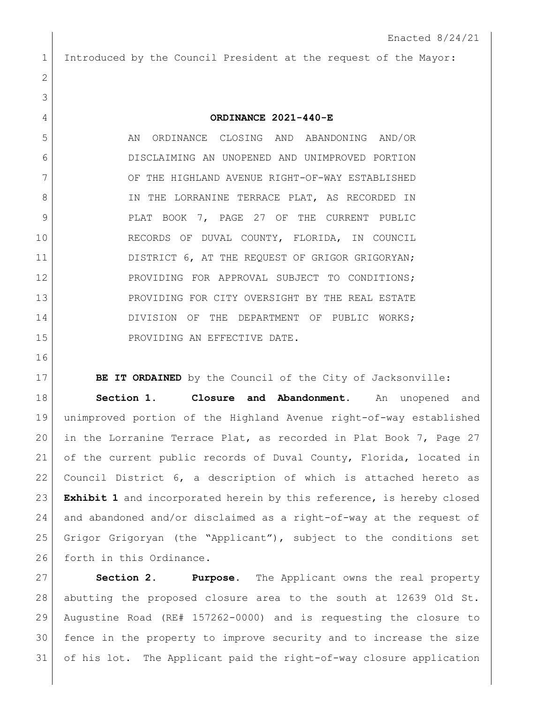Introduced by the Council President at the request of the Mayor:

## **ORDINANCE 2021-440-E**

5 AN ORDINANCE CLOSING AND ABANDONING AND/OR DISCLAIMING AN UNOPENED AND UNIMPROVED PORTION 7 OF THE HIGHLAND AVENUE RIGHT-OF-WAY ESTABLISHED 8 IN THE LORRANINE TERRACE PLAT, AS RECORDED IN 9 PLAT BOOK 7, PAGE 27 OF THE CURRENT PUBLIC RECORDS OF DUVAL COUNTY, FLORIDA, IN COUNCIL 11 DISTRICT 6, AT THE REQUEST OF GRIGOR GRIGORYAN; 12 PROVIDING FOR APPROVAL SUBJECT TO CONDITIONS; 13 PROVIDING FOR CITY OVERSIGHT BY THE REAL ESTATE 14 DIVISION OF THE DEPARTMENT OF PUBLIC WORKS; 15 PROVIDING AN EFFECTIVE DATE.

**BE IT ORDAINED** by the Council of the City of Jacksonville: **Section 1. Closure and Abandonment.** An unopened and unimproved portion of the Highland Avenue right-of-way established in the Lorranine Terrace Plat, as recorded in Plat Book 7, Page 27 of the current public records of Duval County, Florida, located in Council District 6, a description of which is attached hereto as **Exhibit 1** and incorporated herein by this reference, is hereby closed and abandoned and/or disclaimed as a right-of-way at the request of Grigor Grigoryan (the "Applicant"), subject to the conditions set 26 forth in this Ordinance.

 **Section 2. Purpose.** The Applicant owns the real property abutting the proposed closure area to the south at 12639 Old St. Augustine Road (RE# 157262-0000) and is requesting the closure to fence in the property to improve security and to increase the size of his lot. The Applicant paid the right-of-way closure application